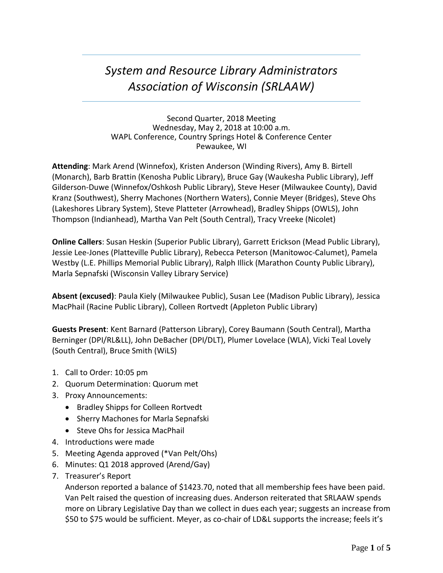# *System and Resource Library Administrators Association of Wisconsin (SRLAAW)*

Second Quarter, 2018 Meeting Wednesday, May 2, 2018 at 10:00 a.m. WAPL Conference, Country Springs Hotel & Conference Center Pewaukee, WI

**Attending**: Mark Arend (Winnefox), Kristen Anderson (Winding Rivers), Amy B. Birtell (Monarch), Barb Brattin (Kenosha Public Library), Bruce Gay (Waukesha Public Library), Jeff Gilderson-Duwe (Winnefox/Oshkosh Public Library), Steve Heser (Milwaukee County), David Kranz (Southwest), Sherry Machones (Northern Waters), Connie Meyer (Bridges), Steve Ohs (Lakeshores Library System), Steve Platteter (Arrowhead), Bradley Shipps (OWLS), John Thompson (Indianhead), Martha Van Pelt (South Central), Tracy Vreeke (Nicolet)

**Online Callers**: Susan Heskin (Superior Public Library), Garrett Erickson (Mead Public Library), Jessie Lee-Jones (Platteville Public Library), Rebecca Peterson (Manitowoc-Calumet), Pamela Westby (L.E. Phillips Memorial Public Library), Ralph Illick (Marathon County Public Library), Marla Sepnafski (Wisconsin Valley Library Service)

**Absent (excused)**: Paula Kiely (Milwaukee Public), Susan Lee (Madison Public Library), Jessica MacPhail (Racine Public Library), Colleen Rortvedt (Appleton Public Library)

**Guests Present**: Kent Barnard (Patterson Library), Corey Baumann (South Central), Martha Berninger (DPI/RL&LL), John DeBacher (DPI/DLT), Plumer Lovelace (WLA), Vicki Teal Lovely (South Central), Bruce Smith (WiLS)

- 1. Call to Order: 10:05 pm
- 2. Quorum Determination: Quorum met
- 3. Proxy Announcements:
	- Bradley Shipps for Colleen Rortvedt
	- Sherry Machones for Marla Sepnafski
	- Steve Ohs for Jessica MacPhail
- 4. Introductions were made
- 5. Meeting Agenda approved (\*Van Pelt/Ohs)
- 6. Minutes: Q1 2018 approved (Arend/Gay)
- 7. Treasurer's Report

Anderson reported a balance of \$1423.70, noted that all membership fees have been paid. Van Pelt raised the question of increasing dues. Anderson reiterated that SRLAAW spends more on Library Legislative Day than we collect in dues each year; suggests an increase from \$50 to \$75 would be sufficient. Meyer, as co-chair of LD&L supports the increase; feels it's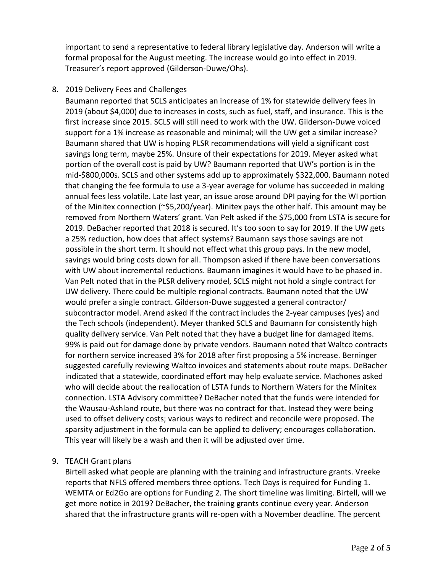important to send a representative to federal library legislative day. Anderson will write a formal proposal for the August meeting. The increase would go into effect in 2019. Treasurer's report approved (Gilderson-Duwe/Ohs).

#### 8. 2019 Delivery Fees and Challenges

Baumann reported that SCLS anticipates an increase of 1% for statewide delivery fees in 2019 (about \$4,000) due to increases in costs, such as fuel, staff, and insurance. This is the first increase since 2015. SCLS will still need to work with the UW. Gilderson-Duwe voiced support for a 1% increase as reasonable and minimal; will the UW get a similar increase? Baumann shared that UW is hoping PLSR recommendations will yield a significant cost savings long term, maybe 25%. Unsure of their expectations for 2019. Meyer asked what portion of the overall cost is paid by UW? Baumann reported that UW's portion is in the mid-\$800,000s. SCLS and other systems add up to approximately \$322,000. Baumann noted that changing the fee formula to use a 3-year average for volume has succeeded in making annual fees less volatile. Late last year, an issue arose around DPI paying for the WI portion of the Minitex connection (~\$5,200/year). Minitex pays the other half. This amount may be removed from Northern Waters' grant. Van Pelt asked if the \$75,000 from LSTA is secure for 2019. DeBacher reported that 2018 is secured. It's too soon to say for 2019. If the UW gets a 25% reduction, how does that affect systems? Baumann says those savings are not possible in the short term. It should not effect what this group pays. In the new model, savings would bring costs down for all. Thompson asked if there have been conversations with UW about incremental reductions. Baumann imagines it would have to be phased in. Van Pelt noted that in the PLSR delivery model, SCLS might not hold a single contract for UW delivery. There could be multiple regional contracts. Baumann noted that the UW would prefer a single contract. Gilderson-Duwe suggested a general contractor/ subcontractor model. Arend asked if the contract includes the 2-year campuses (yes) and the Tech schools (independent). Meyer thanked SCLS and Baumann for consistently high quality delivery service. Van Pelt noted that they have a budget line for damaged items. 99% is paid out for damage done by private vendors. Baumann noted that Waltco contracts for northern service increased 3% for 2018 after first proposing a 5% increase. Berninger suggested carefully reviewing Waltco invoices and statements about route maps. DeBacher indicated that a statewide, coordinated effort may help evaluate service. Machones asked who will decide about the reallocation of LSTA funds to Northern Waters for the Minitex connection. LSTA Advisory committee? DeBacher noted that the funds were intended for the Wausau-Ashland route, but there was no contract for that. Instead they were being used to offset delivery costs; various ways to redirect and reconcile were proposed. The sparsity adjustment in the formula can be applied to delivery; encourages collaboration. This year will likely be a wash and then it will be adjusted over time.

## 9. TEACH Grant plans

Birtell asked what people are planning with the training and infrastructure grants. Vreeke reports that NFLS offered members three options. Tech Days is required for Funding 1. WEMTA or Ed2Go are options for Funding 2. The short timeline was limiting. Birtell, will we get more notice in 2019? DeBacher, the training grants continue every year. Anderson shared that the infrastructure grants will re-open with a November deadline. The percent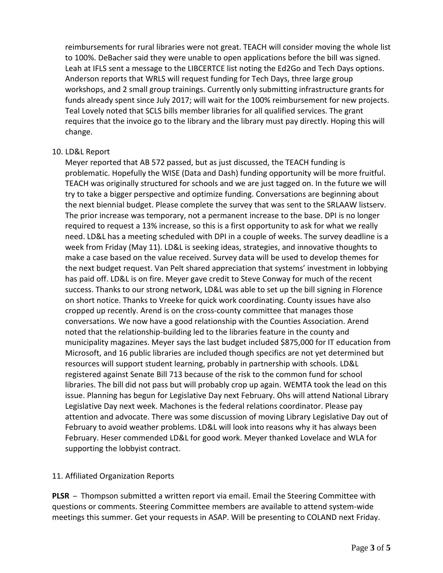reimbursements for rural libraries were not great. TEACH will consider moving the whole list to 100%. DeBacher said they were unable to open applications before the bill was signed. Leah at IFLS sent a message to the LIBCERTCE list noting the Ed2Go and Tech Days options. Anderson reports that WRLS will request funding for Tech Days, three large group workshops, and 2 small group trainings. Currently only submitting infrastructure grants for funds already spent since July 2017; will wait for the 100% reimbursement for new projects. Teal Lovely noted that SCLS bills member libraries for all qualified services. The grant requires that the invoice go to the library and the library must pay directly. Hoping this will change.

#### 10. LD&L Report

Meyer reported that AB 572 passed, but as just discussed, the TEACH funding is problematic. Hopefully the WISE (Data and Dash) funding opportunity will be more fruitful. TEACH was originally structured for schools and we are just tagged on. In the future we will try to take a bigger perspective and optimize funding. Conversations are beginning about the next biennial budget. Please complete the survey that was sent to the SRLAAW listserv. The prior increase was temporary, not a permanent increase to the base. DPI is no longer required to request a 13% increase, so this is a first opportunity to ask for what we really need. LD&L has a meeting scheduled with DPI in a couple of weeks. The survey deadline is a week from Friday (May 11). LD&L is seeking ideas, strategies, and innovative thoughts to make a case based on the value received. Survey data will be used to develop themes for the next budget request. Van Pelt shared appreciation that systems' investment in lobbying has paid off. LD&L is on fire. Meyer gave credit to Steve Conway for much of the recent success. Thanks to our strong network, LD&L was able to set up the bill signing in Florence on short notice. Thanks to Vreeke for quick work coordinating. County issues have also cropped up recently. Arend is on the cross-county committee that manages those conversations. We now have a good relationship with the Counties Association. Arend noted that the relationship-building led to the libraries feature in the county and municipality magazines. Meyer says the last budget included \$875,000 for IT education from Microsoft, and 16 public libraries are included though specifics are not yet determined but resources will support student learning, probably in partnership with schools. LD&L registered against Senate Bill 713 because of the risk to the common fund for school libraries. The bill did not pass but will probably crop up again. WEMTA took the lead on this issue. Planning has begun for Legislative Day next February. Ohs will attend National Library Legislative Day next week. Machones is the federal relations coordinator. Please pay attention and advocate. There was some discussion of moving Library Legislative Day out of February to avoid weather problems. LD&L will look into reasons why it has always been February. Heser commended LD&L for good work. Meyer thanked Lovelace and WLA for supporting the lobbyist contract.

## 11. Affiliated Organization Reports

**PLSR** – Thompson submitted a written report via email. Email the Steering Committee with questions or comments. Steering Committee members are available to attend system-wide meetings this summer. Get your requests in ASAP. Will be presenting to COLAND next Friday.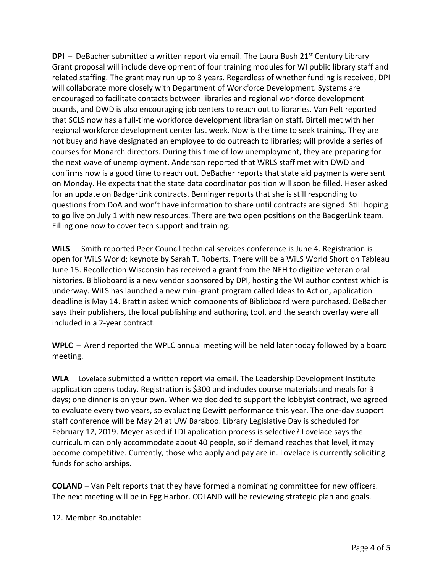**DPI** – DeBacher submitted a written report via email. The Laura Bush  $21^{st}$  Century Library Grant proposal will include development of four training modules for WI public library staff and related staffing. The grant may run up to 3 years. Regardless of whether funding is received, DPI will collaborate more closely with Department of Workforce Development. Systems are encouraged to facilitate contacts between libraries and regional workforce development boards, and DWD is also encouraging job centers to reach out to libraries. Van Pelt reported that SCLS now has a full-time workforce development librarian on staff. Birtell met with her regional workforce development center last week. Now is the time to seek training. They are not busy and have designated an employee to do outreach to libraries; will provide a series of courses for Monarch directors. During this time of low unemployment, they are preparing for the next wave of unemployment. Anderson reported that WRLS staff met with DWD and confirms now is a good time to reach out. DeBacher reports that state aid payments were sent on Monday. He expects that the state data coordinator position will soon be filled. Heser asked for an update on BadgerLink contracts. Berninger reports that she is still responding to questions from DoA and won't have information to share until contracts are signed. Still hoping to go live on July 1 with new resources. There are two open positions on the BadgerLink team. Filling one now to cover tech support and training.

**WiLS** – Smith reported Peer Council technical services conference is June 4. Registration is open for WiLS World; keynote by Sarah T. Roberts. There will be a WiLS World Short on Tableau June 15. Recollection Wisconsin has received a grant from the NEH to digitize veteran oral histories. Biblioboard is a new vendor sponsored by DPI, hosting the WI author contest which is underway. WiLS has launched a new mini-grant program called Ideas to Action, application deadline is May 14. Brattin asked which components of Biblioboard were purchased. DeBacher says their publishers, the local publishing and authoring tool, and the search overlay were all included in a 2-year contract.

**WPLC** – Arend reported the WPLC annual meeting will be held later today followed by a board meeting.

**WLA** – Lovelace submitted a written report via email. The Leadership Development Institute application opens today. Registration is \$300 and includes course materials and meals for 3 days; one dinner is on your own. When we decided to support the lobbyist contract, we agreed to evaluate every two years, so evaluating Dewitt performance this year. The one-day support staff conference will be May 24 at UW Baraboo. Library Legislative Day is scheduled for February 12, 2019. Meyer asked if LDI application process is selective? Lovelace says the curriculum can only accommodate about 40 people, so if demand reaches that level, it may become competitive. Currently, those who apply and pay are in. Lovelace is currently soliciting funds for scholarships.

**COLAND** – Van Pelt reports that they have formed a nominating committee for new officers. The next meeting will be in Egg Harbor. COLAND will be reviewing strategic plan and goals.

12. Member Roundtable: